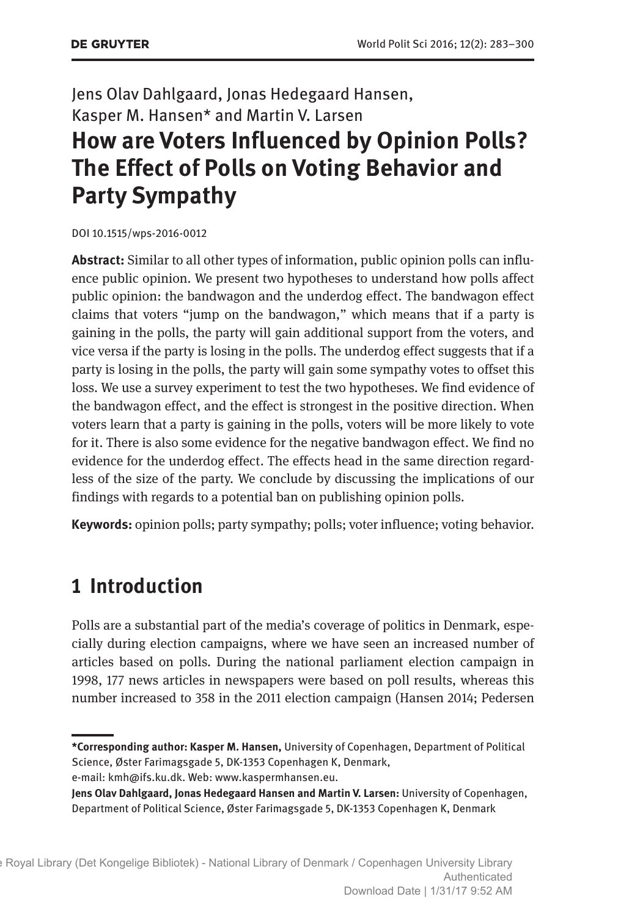## Jens Olav Dahlgaard, Jonas Hedegaard Hansen, Kasper M. Hansen\* and Martin V. Larsen **How are Voters Influenced by Opinion Polls? The Effect of Polls on Voting Behavior and Party Sympathy**

DOI 10.1515/wps-2016-0012

**Abstract:** Similar to all other types of information, public opinion polls can influence public opinion. We present two hypotheses to understand how polls affect public opinion: the bandwagon and the underdog effect. The bandwagon effect claims that voters "jump on the bandwagon," which means that if a party is gaining in the polls, the party will gain additional support from the voters, and vice versa if the party is losing in the polls. The underdog effect suggests that if a party is losing in the polls, the party will gain some sympathy votes to offset this loss. We use a survey experiment to test the two hypotheses. We find evidence of the bandwagon effect, and the effect is strongest in the positive direction. When voters learn that a party is gaining in the polls, voters will be more likely to vote for it. There is also some evidence for the negative bandwagon effect. We find no evidence for the underdog effect. The effects head in the same direction regardless of the size of the party. We conclude by discussing the implications of our findings with regards to a potential ban on publishing opinion polls.

**Keywords:** opinion polls; party sympathy; polls; voter influence; voting behavior.

### **1 Introduction**

Polls are a substantial part of the media's coverage of politics in Denmark, especially during election campaigns, where we have seen an increased number of articles based on polls. During the national parliament election campaign in 1998, 177 news articles in newspapers were based on poll results, whereas this number increased to 358 in the 2011 election campaign (Hansen 2014; Pedersen

**<sup>\*</sup>Corresponding author: Kasper M. Hansen,** University of Copenhagen, Department of Political Science, Øster Farimagsgade 5, DK-1353 Copenhagen K, Denmark, e-mail: [kmh@ifs.ku.dk.](mailto:kmh@ifs.ku.dk) Web: <www.kaspermhansen.eu>.

**Jens Olav Dahlgaard, Jonas Hedegaard Hansen and Martin V. Larsen:** University of Copenhagen, Department of Political Science, Øster Farimagsgade 5, DK-1353 Copenhagen K, Denmark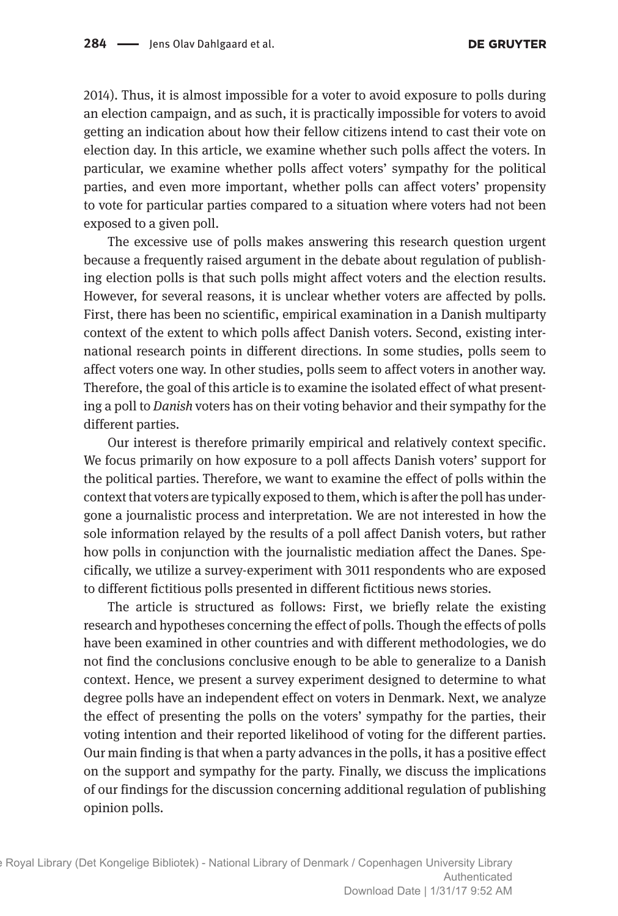2014). Thus, it is almost impossible for a voter to avoid exposure to polls during an election campaign, and as such, it is practically impossible for voters to avoid getting an indication about how their fellow citizens intend to cast their vote on election day. In this article, we examine whether such polls affect the voters. In particular, we examine whether polls affect voters' sympathy for the political parties, and even more important, whether polls can affect voters' propensity to vote for particular parties compared to a situation where voters had not been exposed to a given poll.

The excessive use of polls makes answering this research question urgent because a frequently raised argument in the debate about regulation of publishing election polls is that such polls might affect voters and the election results. However, for several reasons, it is unclear whether voters are affected by polls. First, there has been no scientific, empirical examination in a Danish multiparty context of the extent to which polls affect Danish voters. Second, existing international research points in different directions. In some studies, polls seem to affect voters one way. In other studies, polls seem to affect voters in another way. Therefore, the goal of this article is to examine the isolated effect of what presenting a poll to *Danish* voters has on their voting behavior and their sympathy for the different parties.

Our interest is therefore primarily empirical and relatively context specific. We focus primarily on how exposure to a poll affects Danish voters' support for the political parties. Therefore, we want to examine the effect of polls within the context that voters are typically exposed to them, which is after the poll has undergone a journalistic process and interpretation. We are not interested in how the sole information relayed by the results of a poll affect Danish voters, but rather how polls in conjunction with the journalistic mediation affect the Danes. Specifically, we utilize a survey-experiment with 3011 respondents who are exposed to different fictitious polls presented in different fictitious news stories.

The article is structured as follows: First, we briefly relate the existing research and hypotheses concerning the effect of polls. Though the effects of polls have been examined in other countries and with different methodologies, we do not find the conclusions conclusive enough to be able to generalize to a Danish context. Hence, we present a survey experiment designed to determine to what degree polls have an independent effect on voters in Denmark. Next, we analyze the effect of presenting the polls on the voters' sympathy for the parties, their voting intention and their reported likelihood of voting for the different parties. Our main finding is that when a party advances in the polls, it has a positive effect on the support and sympathy for the party. Finally, we discuss the implications of our findings for the discussion concerning additional regulation of publishing opinion polls.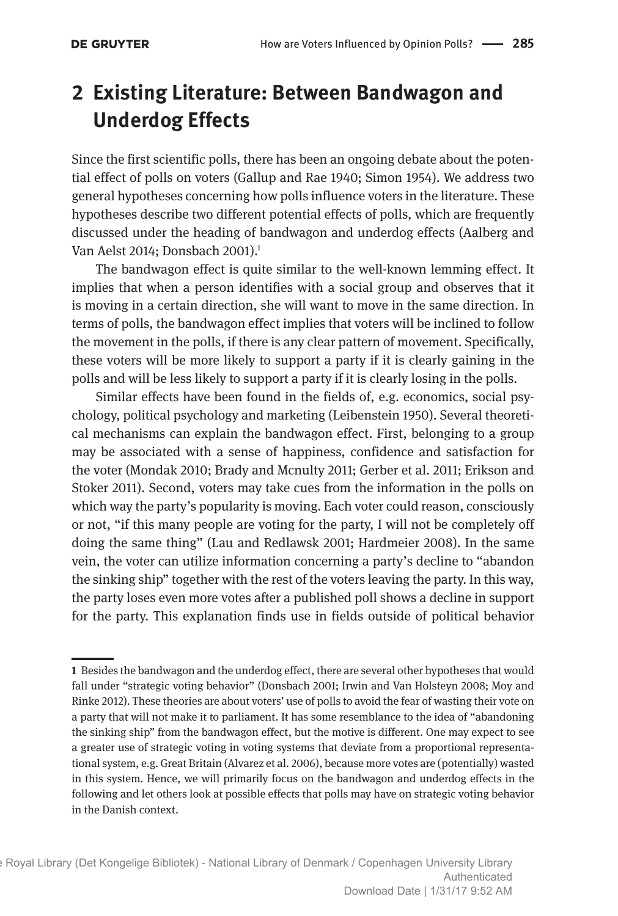# **2 Existing Literature: Between Bandwagon and Underdog Effects**

Since the first scientific polls, there has been an ongoing debate about the potential effect of polls on voters (Gallup and Rae 1940; Simon 1954). We address two general hypotheses concerning how polls influence voters in the literature. These hypotheses describe two different potential effects of polls, which are frequently discussed under the heading of bandwagon and underdog effects (Aalberg and Van Aelst 2014: Donsbach 2001).<sup>1</sup>

The bandwagon effect is quite similar to the well-known lemming effect. It implies that when a person identifies with a social group and observes that it is moving in a certain direction, she will want to move in the same direction. In terms of polls, the bandwagon effect implies that voters will be inclined to follow the movement in the polls, if there is any clear pattern of movement. Specifically, these voters will be more likely to support a party if it is clearly gaining in the polls and will be less likely to support a party if it is clearly losing in the polls.

Similar effects have been found in the fields of, e.g. economics, social psychology, political psychology and marketing (Leibenstein 1950). Several theoretical mechanisms can explain the bandwagon effect. First, belonging to a group may be associated with a sense of happiness, confidence and satisfaction for the voter (Mondak 2010; Brady and Mcnulty 2011; Gerber et al. 2011; Erikson and Stoker 2011). Second, voters may take cues from the information in the polls on which way the party's popularity is moving. Each voter could reason, consciously or not, "if this many people are voting for the party, I will not be completely off doing the same thing" (Lau and Redlawsk 2001; Hardmeier 2008). In the same vein, the voter can utilize information concerning a party's decline to "abandon the sinking ship" together with the rest of the voters leaving the party. In this way, the party loses even more votes after a published poll shows a decline in support for the party. This explanation finds use in fields outside of political behavior

**<sup>1</sup>** Besides the bandwagon and the underdog effect, there are several other hypotheses that would fall under "strategic voting behavior" (Donsbach 2001; Irwin and Van Holsteyn 2008; Moy and Rinke 2012). These theories are about voters' use of polls to avoid the fear of wasting their vote on a party that will not make it to parliament. It has some resemblance to the idea of "abandoning the sinking ship" from the bandwagon effect, but the motive is different. One may expect to see a greater use of strategic voting in voting systems that deviate from a proportional representational system, e.g. Great Britain (Alvarez et al. 2006), because more votes are (potentially) wasted in this system. Hence, we will primarily focus on the bandwagon and underdog effects in the following and let others look at possible effects that polls may have on strategic voting behavior in the Danish context.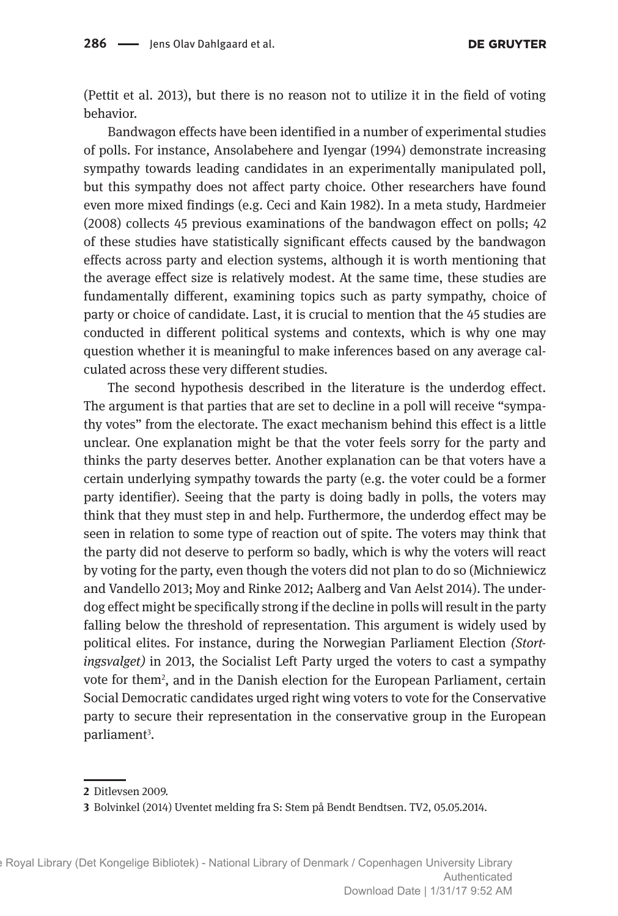(Pettit et al. 2013), but there is no reason not to utilize it in the field of voting behavior.

Bandwagon effects have been identified in a number of experimental studies of polls. For instance, Ansolabehere and Iyengar (1994) demonstrate increasing sympathy towards leading candidates in an experimentally manipulated poll, but this sympathy does not affect party choice. Other researchers have found even more mixed findings (e.g. Ceci and Kain 1982). In a meta study, Hardmeier (2008) collects 45 previous examinations of the bandwagon effect on polls; 42 of these studies have statistically significant effects caused by the bandwagon effects across party and election systems, although it is worth mentioning that the average effect size is relatively modest. At the same time, these studies are fundamentally different, examining topics such as party sympathy, choice of party or choice of candidate. Last, it is crucial to mention that the 45 studies are conducted in different political systems and contexts, which is why one may question whether it is meaningful to make inferences based on any average calculated across these very different studies.

The second hypothesis described in the literature is the underdog effect. The argument is that parties that are set to decline in a poll will receive "sympathy votes" from the electorate. The exact mechanism behind this effect is a little unclear. One explanation might be that the voter feels sorry for the party and thinks the party deserves better. Another explanation can be that voters have a certain underlying sympathy towards the party (e.g. the voter could be a former party identifier). Seeing that the party is doing badly in polls, the voters may think that they must step in and help. Furthermore, the underdog effect may be seen in relation to some type of reaction out of spite. The voters may think that the party did not deserve to perform so badly, which is why the voters will react by voting for the party, even though the voters did not plan to do so (Michniewicz and Vandello 2013; Moy and Rinke 2012; Aalberg and Van Aelst 2014). The underdog effect might be specifically strong if the decline in polls will result in the party falling below the threshold of representation. This argument is widely used by political elites. For instance, during the Norwegian Parliament Election *(Stortingsvalget)* in 2013, the Socialist Left Party urged the voters to cast a sympathy vote for them<sup>2</sup>, and in the Danish election for the European Parliament, certain Social Democratic candidates urged right wing voters to vote for the Conservative party to secure their representation in the conservative group in the European parliament<sup>3</sup>.

**<sup>2</sup>** Ditlevsen 2009.

**<sup>3</sup>** Bolvinkel (2014) Uventet melding fra S: Stem på Bendt Bendtsen. TV2, 05.05.2014.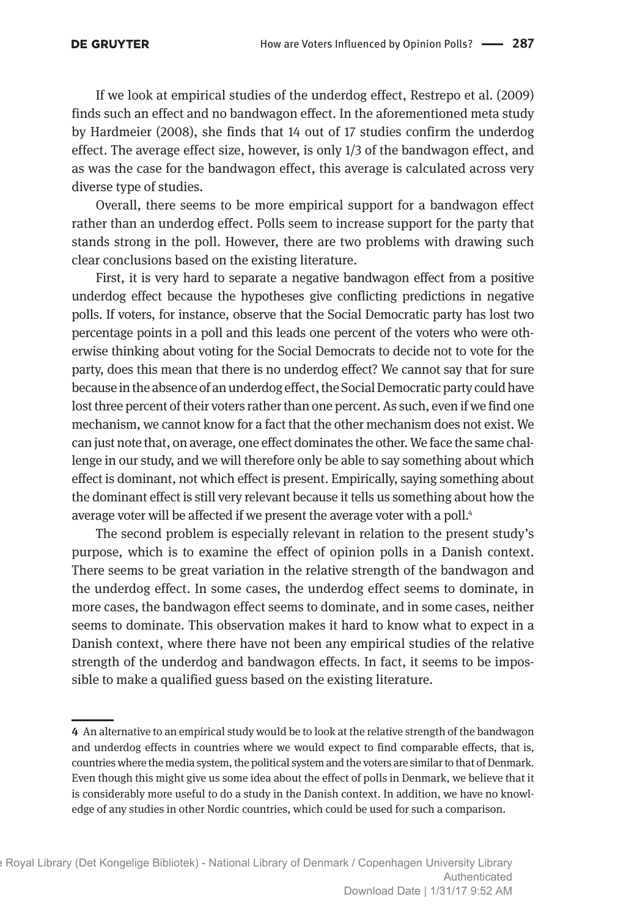#### **DE GRUYTER**

If we look at empirical studies of the underdog effect, Restrepo et al. (2009) finds such an effect and no bandwagon effect. In the aforementioned meta study by Hardmeier (2008), she finds that 14 out of 17 studies confirm the underdog effect. The average effect size, however, is only 1/3 of the bandwagon effect, and as was the case for the bandwagon effect, this average is calculated across very diverse type of studies.

Overall, there seems to be more empirical support for a bandwagon effect rather than an underdog effect. Polls seem to increase support for the party that stands strong in the poll. However, there are two problems with drawing such clear conclusions based on the existing literature.

First, it is very hard to separate a negative bandwagon effect from a positive underdog effect because the hypotheses give conflicting predictions in negative polls. If voters, for instance, observe that the Social Democratic party has lost two percentage points in a poll and this leads one percent of the voters who were otherwise thinking about voting for the Social Democrats to decide not to vote for the party, does this mean that there is no underdog effect? We cannot say that for sure because in the absence of an underdog effect, the Social Democratic party could have lost three percent of their voters rather than one percent. As such, even if we find one mechanism, we cannot know for a fact that the other mechanism does not exist. We can just note that, on average, one effect dominates the other. We face the same challenge in our study, and we will therefore only be able to say something about which effect is dominant, not which effect is present. Empirically, saying something about the dominant effect is still very relevant because it tells us something about how the average voter will be affected if we present the average voter with a poll.<sup>4</sup>

The second problem is especially relevant in relation to the present study's purpose, which is to examine the effect of opinion polls in a Danish context. There seems to be great variation in the relative strength of the bandwagon and the underdog effect. In some cases, the underdog effect seems to dominate, in more cases, the bandwagon effect seems to dominate, and in some cases, neither seems to dominate. This observation makes it hard to know what to expect in a Danish context, where there have not been any empirical studies of the relative strength of the underdog and bandwagon effects. In fact, it seems to be impossible to make a qualified guess based on the existing literature.

**<sup>4</sup>** An alternative to an empirical study would be to look at the relative strength of the bandwagon and underdog effects in countries where we would expect to find comparable effects, that is, countries where the media system, the political system and the voters are similar to that of Denmark. Even though this might give us some idea about the effect of polls in Denmark, we believe that it is considerably more useful to do a study in the Danish context. In addition, we have no knowledge of any studies in other Nordic countries, which could be used for such a comparison.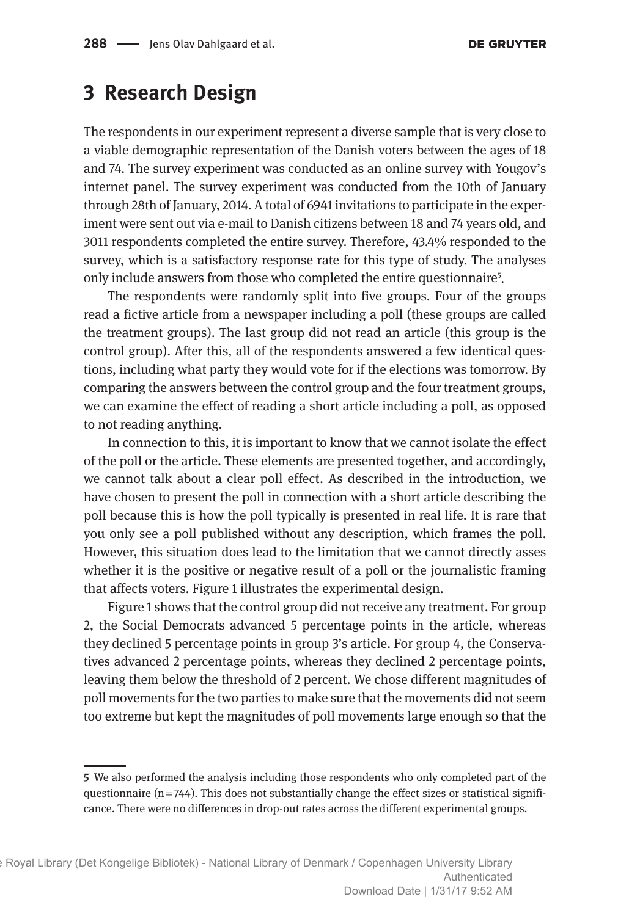### **3 Research Design**

The respondents in our experiment represent a diverse sample that is very close to a viable demographic representation of the Danish voters between the ages of 18 and 74. The survey experiment was conducted as an online survey with Yougov's internet panel. The survey experiment was conducted from the 10th of January through 28th of January, 2014. A total of 6941 invitations to participate in the experiment were sent out via e-mail to Danish citizens between 18 and 74 years old, and 3011 respondents completed the entire survey. Therefore, 43.4% responded to the survey, which is a satisfactory response rate for this type of study. The analyses only include answers from those who completed the entire questionnaire<sup>5</sup>.

The respondents were randomly split into five groups. Four of the groups read a fictive article from a newspaper including a poll (these groups are called the treatment groups). The last group did not read an article (this group is the control group). After this, all of the respondents answered a few identical questions, including what party they would vote for if the elections was tomorrow. By comparing the answers between the control group and the four treatment groups, we can examine the effect of reading a short article including a poll, as opposed to not reading anything.

In connection to this, it is important to know that we cannot isolate the effect of the poll or the article. These elements are presented together, and accordingly, we cannot talk about a clear poll effect. As described in the introduction, we have chosen to present the poll in connection with a short article describing the poll because this is how the poll typically is presented in real life. It is rare that you only see a poll published without any description, which frames the poll. However, this situation does lead to the limitation that we cannot directly asses whether it is the positive or negative result of a poll or the journalistic framing that affects voters. Figure 1 illustrates the experimental design.

Figure 1 shows that the control group did not receive any treatment. For group 2, the Social Democrats advanced 5 percentage points in the article, whereas they declined 5 percentage points in group 3's article. For group 4, the Conservatives advanced 2 percentage points, whereas they declined 2 percentage points, leaving them below the threshold of 2 percent. We chose different magnitudes of poll movements for the two parties to make sure that the movements did not seem too extreme but kept the magnitudes of poll movements large enough so that the

**<sup>5</sup>** We also performed the analysis including those respondents who only completed part of the questionnaire  $(n=744)$ . This does not substantially change the effect sizes or statistical significance. There were no differences in drop-out rates across the different experimental groups.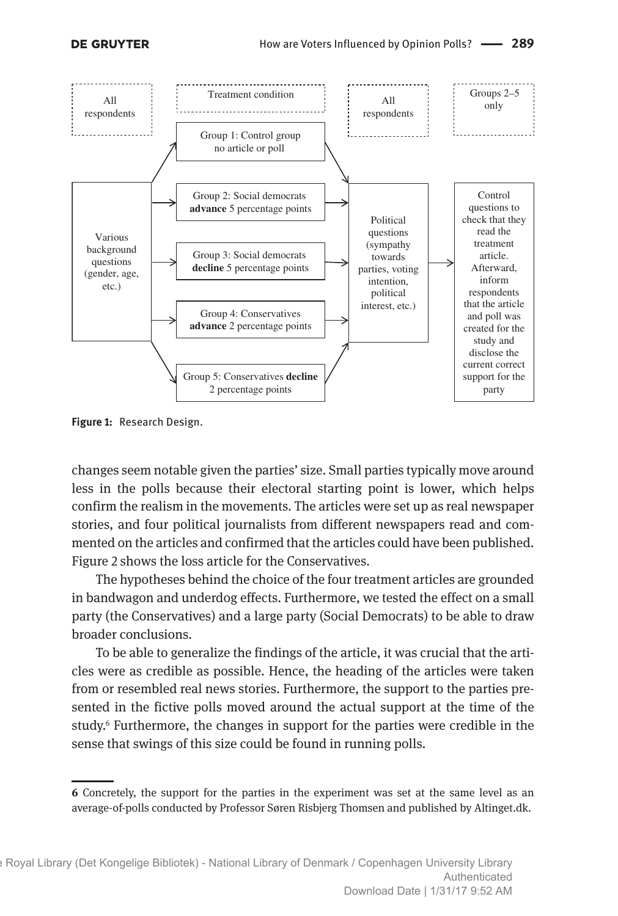

**Figure 1:** Research Design.

changes seem notable given the parties' size. Small parties typically move around less in the polls because their electoral starting point is lower, which helps confirm the realism in the movements. The articles were set up as real newspaper stories, and four political journalists from different newspapers read and commented on the articles and confirmed that the articles could have been published. Figure 2 shows the loss article for the Conservatives.

The hypotheses behind the choice of the four treatment articles are grounded in bandwagon and underdog effects. Furthermore, we tested the effect on a small party (the Conservatives) and a large party (Social Democrats) to be able to draw broader conclusions.

To be able to generalize the findings of the article, it was crucial that the articles were as credible as possible. Hence, the heading of the articles were taken from or resembled real news stories. Furthermore, the support to the parties presented in the fictive polls moved around the actual support at the time of the study.6 Furthermore, the changes in support for the parties were credible in the sense that swings of this size could be found in running polls.

**<sup>6</sup>** Concretely, the support for the parties in the experiment was set at the same level as an average-of-polls conducted by Professor Søren Risbjerg Thomsen and published by Altinget.dk.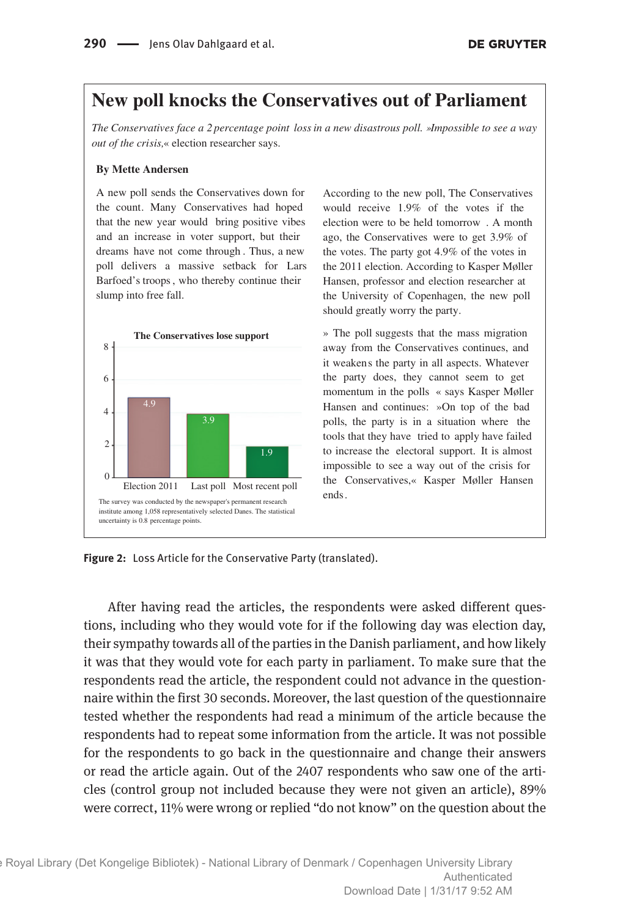### **New poll knocks the Conservatives out of Parliament**

*The Conservatives face a 2 percentage point lossin a new disastrous poll. »Impossible to see a way out of the crisis,*« election researcher says.

#### **By Mette Andersen**

A new poll sends the Conservatives down for the count. Many Conservatives had hoped that the new year would bring positive vibes and an increase in voter support, but their dreams have not come through . Thus, a new poll delivers a massive setback for Lars Barfoed's troops, who thereby continue their slump into free fall.



According to the new poll, The Conservatives would receive 1.9% of the votes if the election were to be held tomorrow . A month ago, the Conservatives were to get 3.9% of the votes. The party got 4.9% of the votes in the 2011 election. According to Kasper Møller Hansen, professor and election researcher at the University of Copenhagen, the new poll should greatly worry the party.

» The poll suggests that the mass migration away from the Conservatives continues, and it weakens the party in all aspects. Whatever the party does, they cannot seem to get momentum in the polls « says Kasper Møller Hansen and continues: »On top of the bad polls, the party is in a situation where the tools that they have tried to apply have failed to increase the electoral support. It is almost impossible to see a way out of the crisis for the Conservatives,« Kasper Møller Hansen

**Figure 2:** Loss Article for the Conservative Party (translated).

After having read the articles, the respondents were asked different questions, including who they would vote for if the following day was election day, their sympathy towards all of the parties in the Danish parliament, and how likely it was that they would vote for each party in parliament. To make sure that the respondents read the article, the respondent could not advance in the questionnaire within the first 30 seconds. Moreover, the last question of the questionnaire tested whether the respondents had read a minimum of the article because the respondents had to repeat some information from the article. It was not possible for the respondents to go back in the questionnaire and change their answers or read the article again. Out of the 2407 respondents who saw one of the articles (control group not included because they were not given an article), 89% were correct, 11% were wrong or replied "do not know" on the question about the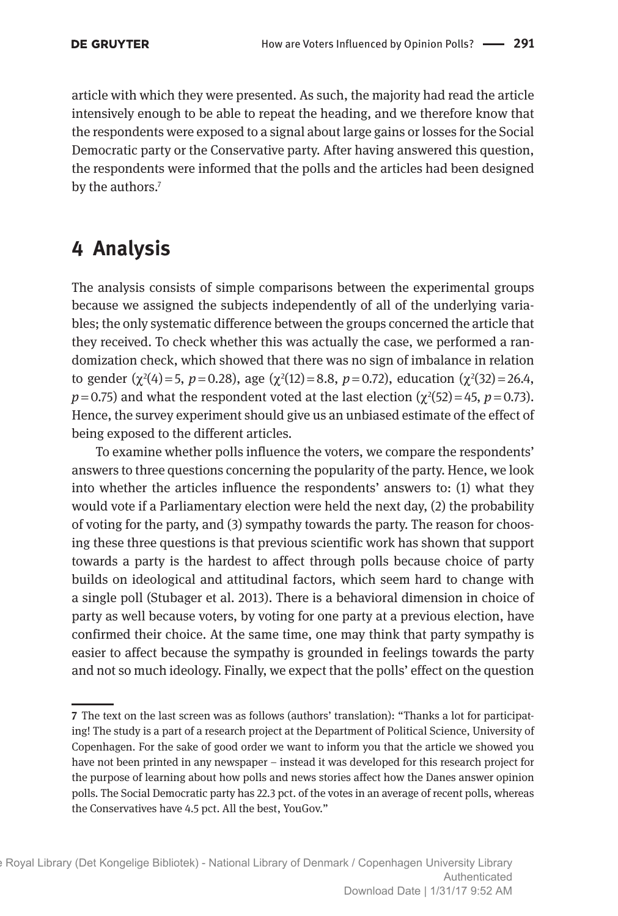article with which they were presented. As such, the majority had read the article intensively enough to be able to repeat the heading, and we therefore know that the respondents were exposed to a signal about large gains or losses for the Social Democratic party or the Conservative party. After having answered this question, the respondents were informed that the polls and the articles had been designed by the authors.<sup>7</sup>

## **4 Analysis**

The analysis consists of simple comparisons between the experimental groups because we assigned the subjects independently of all of the underlying variables; the only systematic difference between the groups concerned the article that they received. To check whether this was actually the case, we performed a randomization check, which showed that there was no sign of imbalance in relation to gender  $(\chi^2(4)=5, p=0.28)$ , age  $(\chi^2(12)=8.8, p=0.72)$ , education  $(\chi^2(32)=26.4,$  $p = 0.75$ ) and what the respondent voted at the last election ( $\chi^2(52) = 45$ ,  $p = 0.73$ ). Hence, the survey experiment should give us an unbiased estimate of the effect of being exposed to the different articles.

To examine whether polls influence the voters, we compare the respondents' answers to three questions concerning the popularity of the party. Hence, we look into whether the articles influence the respondents' answers to: (1) what they would vote if a Parliamentary election were held the next day, (2) the probability of voting for the party, and (3) sympathy towards the party. The reason for choosing these three questions is that previous scientific work has shown that support towards a party is the hardest to affect through polls because choice of party builds on ideological and attitudinal factors, which seem hard to change with a single poll (Stubager et al. 2013). There is a behavioral dimension in choice of party as well because voters, by voting for one party at a previous election, have confirmed their choice. At the same time, one may think that party sympathy is easier to affect because the sympathy is grounded in feelings towards the party and not so much ideology. Finally, we expect that the polls' effect on the question

**<sup>7</sup>** The text on the last screen was as follows (authors' translation): "Thanks a lot for participating! The study is a part of a research project at the Department of Political Science, University of Copenhagen. For the sake of good order we want to inform you that the article we showed you have not been printed in any newspaper – instead it was developed for this research project for the purpose of learning about how polls and news stories affect how the Danes answer opinion polls. The Social Democratic party has 22.3 pct. of the votes in an average of recent polls, whereas the Conservatives have 4.5 pct. All the best, YouGov."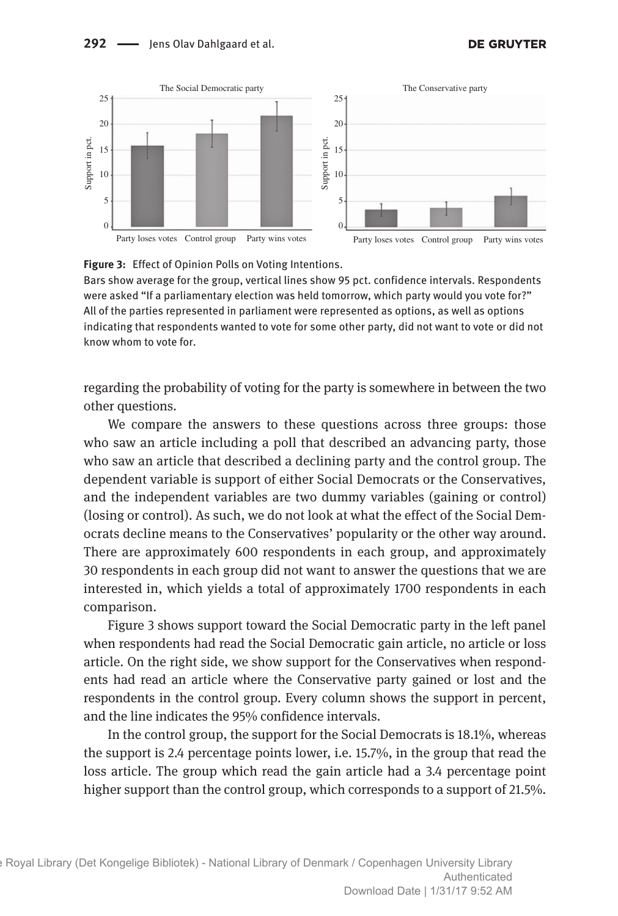

#### **Figure 3:** Effect of Opinion Polls on Voting Intentions.

Bars show average for the group, vertical lines show 95 pct. confidence intervals. Respondents were asked "If a parliamentary election was held tomorrow, which party would you vote for?" All of the parties represented in parliament were represented as options, as well as options indicating that respondents wanted to vote for some other party, did not want to vote or did not know whom to vote for.

regarding the probability of voting for the party is somewhere in between the two other questions.

We compare the answers to these questions across three groups: those who saw an article including a poll that described an advancing party, those who saw an article that described a declining party and the control group. The dependent variable is support of either Social Democrats or the Conservatives, and the independent variables are two dummy variables (gaining or control) (losing or control). As such, we do not look at what the effect of the Social Democrats decline means to the Conservatives' popularity or the other way around. There are approximately 600 respondents in each group, and approximately 30 respondents in each group did not want to answer the questions that we are interested in, which yields a total of approximately 1700 respondents in each comparison.

Figure 3 shows support toward the Social Democratic party in the left panel when respondents had read the Social Democratic gain article, no article or loss article. On the right side, we show support for the Conservatives when respondents had read an article where the Conservative party gained or lost and the respondents in the control group. Every column shows the support in percent, and the line indicates the 95% confidence intervals.

In the control group, the support for the Social Democrats is 18.1%, whereas the support is 2.4 percentage points lower, i.e. 15.7%, in the group that read the loss article. The group which read the gain article had a 3.4 percentage point higher support than the control group, which corresponds to a support of 21.5%.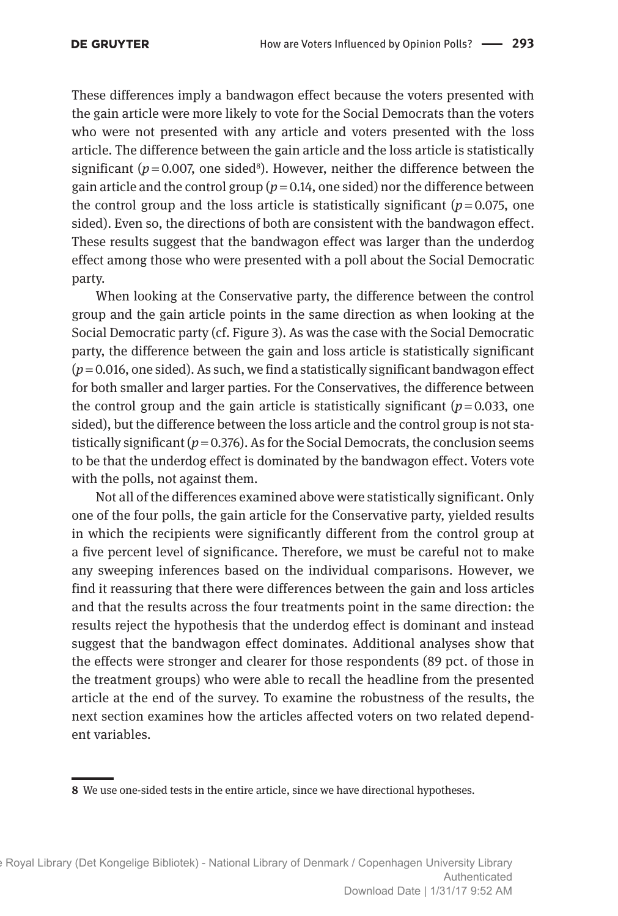These differences imply a bandwagon effect because the voters presented with the gain article were more likely to vote for the Social Democrats than the voters who were not presented with any article and voters presented with the loss article. The difference between the gain article and the loss article is statistically significant ( $p = 0.007$ , one sided<sup>8</sup>). However, neither the difference between the gain article and the control group  $(p=0.14)$ , one sided) nor the difference between the control group and the loss article is statistically significant  $(p=0.075, \text{ one})$ sided). Even so, the directions of both are consistent with the bandwagon effect. These results suggest that the bandwagon effect was larger than the underdog effect among those who were presented with a poll about the Social Democratic party.

When looking at the Conservative party, the difference between the control group and the gain article points in the same direction as when looking at the Social Democratic party (cf. Figure 3). As was the case with the Social Democratic party, the difference between the gain and loss article is statistically significant  $(p=0.016$ , one sided). As such, we find a statistically significant bandwagon effect for both smaller and larger parties. For the Conservatives, the difference between the control group and the gain article is statistically significant  $(p=0.033, 0.01)$ sided), but the difference between the loss article and the control group is not statistically significant  $(p=0.376)$ . As for the Social Democrats, the conclusion seems to be that the underdog effect is dominated by the bandwagon effect. Voters vote with the polls, not against them.

Not all of the differences examined above were statistically significant. Only one of the four polls, the gain article for the Conservative party, yielded results in which the recipients were significantly different from the control group at a five percent level of significance. Therefore, we must be careful not to make any sweeping inferences based on the individual comparisons. However, we find it reassuring that there were differences between the gain and loss articles and that the results across the four treatments point in the same direction: the results reject the hypothesis that the underdog effect is dominant and instead suggest that the bandwagon effect dominates. Additional analyses show that the effects were stronger and clearer for those respondents (89 pct. of those in the treatment groups) who were able to recall the headline from the presented article at the end of the survey. To examine the robustness of the results, the next section examines how the articles affected voters on two related dependent variables.

**<sup>8</sup>** We use one-sided tests in the entire article, since we have directional hypotheses.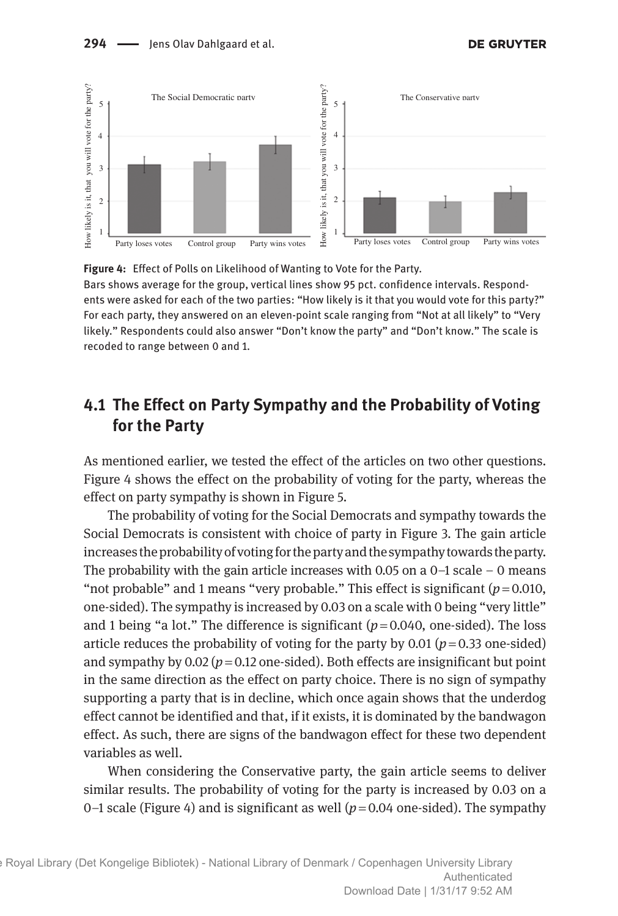

**Figure 4:** Effect of Polls on Likelihood of Wanting to Vote for the Party. Bars shows average for the group, vertical lines show 95 pct. confidence intervals. Respondents were asked for each of the two parties: "How likely is it that you would vote for this party?" For each party, they answered on an eleven-point scale ranging from "Not at all likely" to "Very likely." Respondents could also answer "Don't know the party" and "Don't know." The scale is recoded to range between 0 and 1.

### **4.1 The Effect on Party Sympathy and the Probability of Voting for the Party**

As mentioned earlier, we tested the effect of the articles on two other questions. Figure 4 shows the effect on the probability of voting for the party, whereas the effect on party sympathy is shown in Figure 5.

The probability of voting for the Social Democrats and sympathy towards the Social Democrats is consistent with choice of party in Figure 3. The gain article increases the probability of voting for the party and the sympathy towards the party. The probability with the gain article increases with 0.05 on a  $0-1$  scale  $-0$  means "not probable" and 1 means "very probable." This effect is significant  $(p=0.010, p=0.010)$ one-sided). The sympathy is increased by 0.03 on a scale with 0 being "very little" and 1 being "a lot." The difference is significant  $(p=0.040, \text{ one-sided})$ . The loss article reduces the probability of voting for the party by  $0.01$  ( $p = 0.33$  one-sided) and sympathy by  $0.02$  ( $p = 0.12$  one-sided). Both effects are insignificant but point in the same direction as the effect on party choice. There is no sign of sympathy supporting a party that is in decline, which once again shows that the underdog effect cannot be identified and that, if it exists, it is dominated by the bandwagon effect. As such, there are signs of the bandwagon effect for these two dependent variables as well.

When considering the Conservative party, the gain article seems to deliver similar results. The probability of voting for the party is increased by 0.03 on a 0–1 scale (Figure 4) and is significant as well  $(p=0.04$  one-sided). The sympathy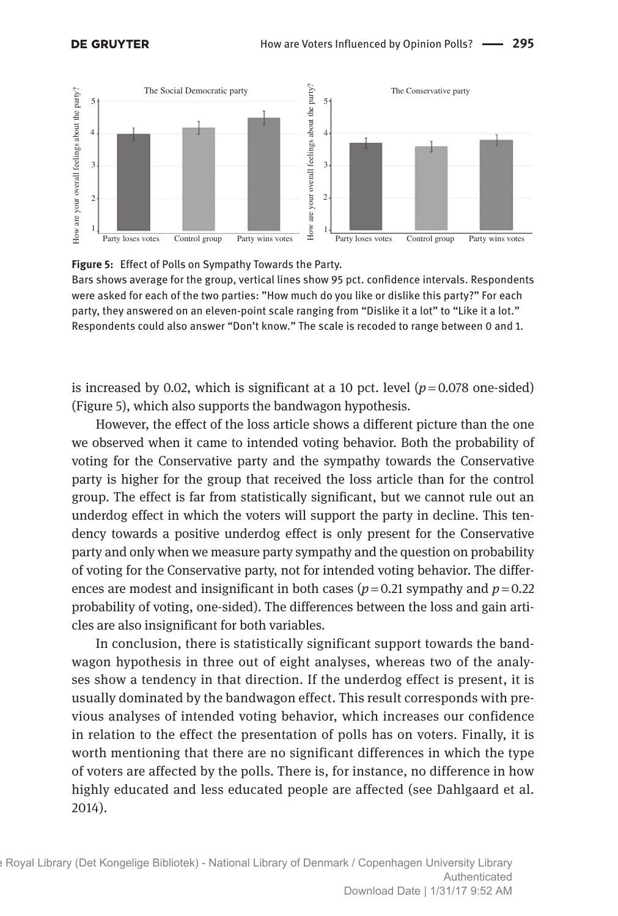



Bars shows average for the group, vertical lines show 95 pct. confidence intervals. Respondents were asked for each of the two parties: "How much do you like or dislike this party?" For each party, they answered on an eleven-point scale ranging from "Dislike it a lot" to "Like it a lot." Respondents could also answer "Don't know." The scale is recoded to range between 0 and 1.

is increased by 0.02, which is significant at a 10 pct. level  $(p=0.078$  one-sided) (Figure 5), which also supports the bandwagon hypothesis.

However, the effect of the loss article shows a different picture than the one we observed when it came to intended voting behavior. Both the probability of voting for the Conservative party and the sympathy towards the Conservative party is higher for the group that received the loss article than for the control group. The effect is far from statistically significant, but we cannot rule out an underdog effect in which the voters will support the party in decline. This tendency towards a positive underdog effect is only present for the Conservative party and only when we measure party sympathy and the question on probability of voting for the Conservative party, not for intended voting behavior. The differences are modest and insignificant in both cases ( $p = 0.21$  sympathy and  $p = 0.22$ ) probability of voting, one-sided). The differences between the loss and gain articles are also insignificant for both variables.

In conclusion, there is statistically significant support towards the bandwagon hypothesis in three out of eight analyses, whereas two of the analyses show a tendency in that direction. If the underdog effect is present, it is usually dominated by the bandwagon effect. This result corresponds with previous analyses of intended voting behavior, which increases our confidence in relation to the effect the presentation of polls has on voters. Finally, it is worth mentioning that there are no significant differences in which the type of voters are affected by the polls. There is, for instance, no difference in how highly educated and less educated people are affected (see Dahlgaard et al. 2014).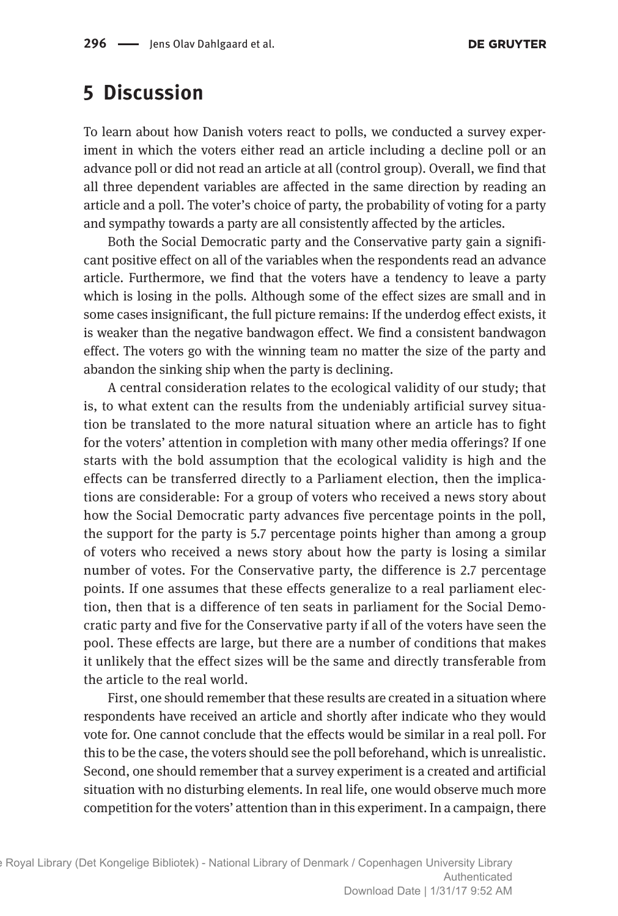### **5 Discussion**

To learn about how Danish voters react to polls, we conducted a survey experiment in which the voters either read an article including a decline poll or an advance poll or did not read an article at all (control group). Overall, we find that all three dependent variables are affected in the same direction by reading an article and a poll. The voter's choice of party, the probability of voting for a party and sympathy towards a party are all consistently affected by the articles.

Both the Social Democratic party and the Conservative party gain a significant positive effect on all of the variables when the respondents read an advance article. Furthermore, we find that the voters have a tendency to leave a party which is losing in the polls. Although some of the effect sizes are small and in some cases insignificant, the full picture remains: If the underdog effect exists, it is weaker than the negative bandwagon effect. We find a consistent bandwagon effect. The voters go with the winning team no matter the size of the party and abandon the sinking ship when the party is declining.

A central consideration relates to the ecological validity of our study; that is, to what extent can the results from the undeniably artificial survey situation be translated to the more natural situation where an article has to fight for the voters' attention in completion with many other media offerings? If one starts with the bold assumption that the ecological validity is high and the effects can be transferred directly to a Parliament election, then the implications are considerable: For a group of voters who received a news story about how the Social Democratic party advances five percentage points in the poll, the support for the party is 5.7 percentage points higher than among a group of voters who received a news story about how the party is losing a similar number of votes. For the Conservative party, the difference is 2.7 percentage points. If one assumes that these effects generalize to a real parliament election, then that is a difference of ten seats in parliament for the Social Democratic party and five for the Conservative party if all of the voters have seen the pool. These effects are large, but there are a number of conditions that makes it unlikely that the effect sizes will be the same and directly transferable from the article to the real world.

First, one should remember that these results are created in a situation where respondents have received an article and shortly after indicate who they would vote for. One cannot conclude that the effects would be similar in a real poll. For this to be the case, the voters should see the poll beforehand, which is unrealistic. Second, one should remember that a survey experiment is a created and artificial situation with no disturbing elements. In real life, one would observe much more competition for the voters' attention than in this experiment. In a campaign, there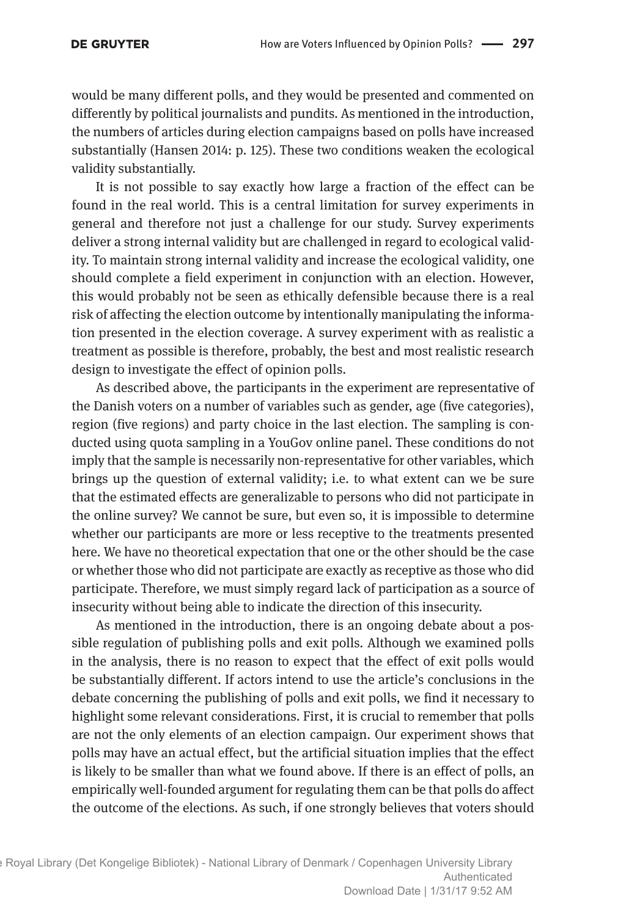would be many different polls, and they would be presented and commented on differently by political journalists and pundits. As mentioned in the introduction, the numbers of articles during election campaigns based on polls have increased substantially (Hansen 2014: p. 125). These two conditions weaken the ecological validity substantially.

It is not possible to say exactly how large a fraction of the effect can be found in the real world. This is a central limitation for survey experiments in general and therefore not just a challenge for our study. Survey experiments deliver a strong internal validity but are challenged in regard to ecological validity. To maintain strong internal validity and increase the ecological validity, one should complete a field experiment in conjunction with an election. However, this would probably not be seen as ethically defensible because there is a real risk of affecting the election outcome by intentionally manipulating the information presented in the election coverage. A survey experiment with as realistic a treatment as possible is therefore, probably, the best and most realistic research design to investigate the effect of opinion polls.

As described above, the participants in the experiment are representative of the Danish voters on a number of variables such as gender, age (five categories), region (five regions) and party choice in the last election. The sampling is conducted using quota sampling in a YouGov online panel. These conditions do not imply that the sample is necessarily non-representative for other variables, which brings up the question of external validity; i.e. to what extent can we be sure that the estimated effects are generalizable to persons who did not participate in the online survey? We cannot be sure, but even so, it is impossible to determine whether our participants are more or less receptive to the treatments presented here. We have no theoretical expectation that one or the other should be the case or whether those who did not participate are exactly as receptive as those who did participate. Therefore, we must simply regard lack of participation as a source of insecurity without being able to indicate the direction of this insecurity.

As mentioned in the introduction, there is an ongoing debate about a possible regulation of publishing polls and exit polls. Although we examined polls in the analysis, there is no reason to expect that the effect of exit polls would be substantially different. If actors intend to use the article's conclusions in the debate concerning the publishing of polls and exit polls, we find it necessary to highlight some relevant considerations. First, it is crucial to remember that polls are not the only elements of an election campaign. Our experiment shows that polls may have an actual effect, but the artificial situation implies that the effect is likely to be smaller than what we found above. If there is an effect of polls, an empirically well-founded argument for regulating them can be that polls do affect the outcome of the elections. As such, if one strongly believes that voters should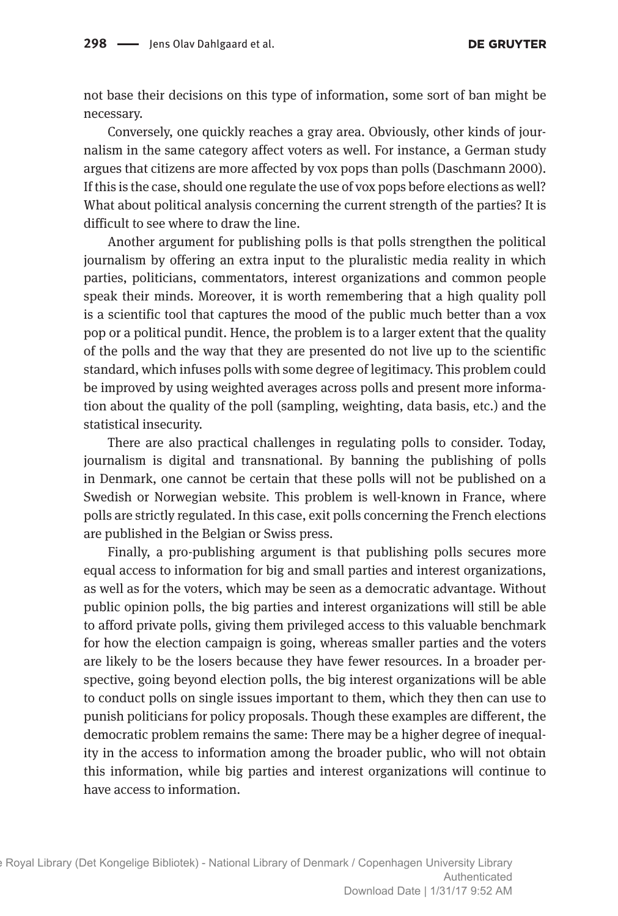not base their decisions on this type of information, some sort of ban might be necessary.

Conversely, one quickly reaches a gray area. Obviously, other kinds of journalism in the same category affect voters as well. For instance, a German study argues that citizens are more affected by vox pops than polls (Daschmann 2000). If this is the case, should one regulate the use of vox pops before elections as well? What about political analysis concerning the current strength of the parties? It is difficult to see where to draw the line.

Another argument for publishing polls is that polls strengthen the political journalism by offering an extra input to the pluralistic media reality in which parties, politicians, commentators, interest organizations and common people speak their minds. Moreover, it is worth remembering that a high quality poll is a scientific tool that captures the mood of the public much better than a vox pop or a political pundit. Hence, the problem is to a larger extent that the quality of the polls and the way that they are presented do not live up to the scientific standard, which infuses polls with some degree of legitimacy. This problem could be improved by using weighted averages across polls and present more information about the quality of the poll (sampling, weighting, data basis, etc.) and the statistical insecurity.

There are also practical challenges in regulating polls to consider. Today, journalism is digital and transnational. By banning the publishing of polls in Denmark, one cannot be certain that these polls will not be published on a Swedish or Norwegian website. This problem is well-known in France, where polls are strictly regulated. In this case, exit polls concerning the French elections are published in the Belgian or Swiss press.

Finally, a pro-publishing argument is that publishing polls secures more equal access to information for big and small parties and interest organizations, as well as for the voters, which may be seen as a democratic advantage. Without public opinion polls, the big parties and interest organizations will still be able to afford private polls, giving them privileged access to this valuable benchmark for how the election campaign is going, whereas smaller parties and the voters are likely to be the losers because they have fewer resources. In a broader perspective, going beyond election polls, the big interest organizations will be able to conduct polls on single issues important to them, which they then can use to punish politicians for policy proposals. Though these examples are different, the democratic problem remains the same: There may be a higher degree of inequality in the access to information among the broader public, who will not obtain this information, while big parties and interest organizations will continue to have access to information.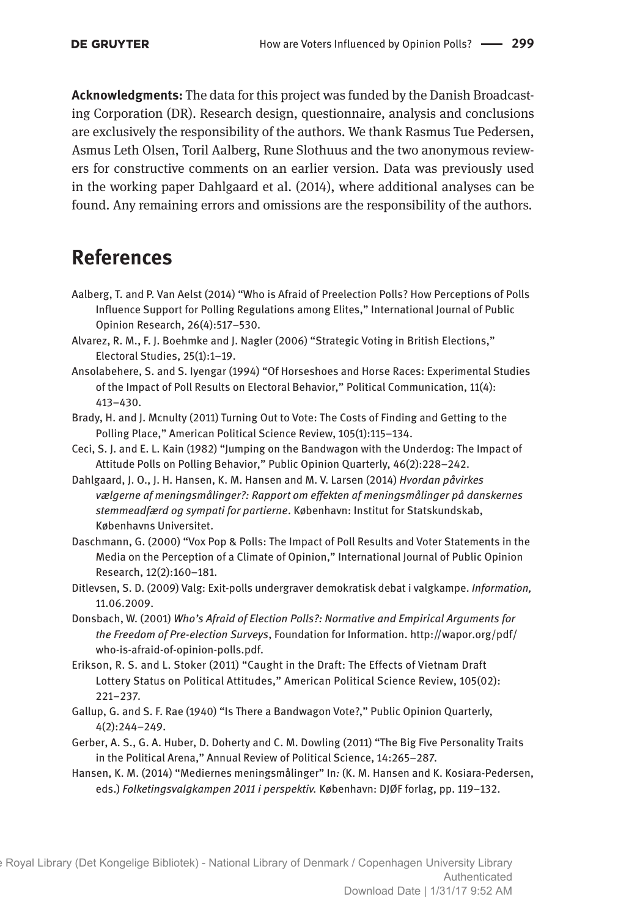**Acknowledgments:** The data for this project was funded by the Danish Broadcasting Corporation (DR). Research design, questionnaire, analysis and conclusions are exclusively the responsibility of the authors. We thank Rasmus Tue Pedersen, Asmus Leth Olsen, Toril Aalberg, Rune Slothuus and the two anonymous reviewers for constructive comments on an earlier version. Data was previously used in the working paper Dahlgaard et al. (2014), where additional analyses can be found. Any remaining errors and omissions are the responsibility of the authors.

### **References**

- Aalberg, T. and P. Van Aelst (2014) "Who is Afraid of Preelection Polls? How Perceptions of Polls Influence Support for Polling Regulations among Elites," International Journal of Public Opinion Research, 26(4):517–530.
- Alvarez, R. M., F. J. Boehmke and J. Nagler (2006) "Strategic Voting in British Elections," Electoral Studies, 25(1):1–19.
- Ansolabehere, S. and S. Iyengar (1994) "Of Horseshoes and Horse Races: Experimental Studies of the Impact of Poll Results on Electoral Behavior," Political Communication, 11(4): 413–430.
- Brady, H. and J. Mcnulty (2011) Turning Out to Vote: The Costs of Finding and Getting to the Polling Place," American Political Science Review, 105(1):115–134.
- Ceci, S. J. and E. L. Kain (1982) "Jumping on the Bandwagon with the Underdog: The Impact of Attitude Polls on Polling Behavior," Public Opinion Quarterly, 46(2):228–242.
- Dahlgaard, J. O., J. H. Hansen, K. M. Hansen and M. V. Larsen (2014) *Hvordan påvirkes vælgerne af meningsmålinger?: Rapport om effekten af meningsmålinger på danskernes stemmeadfærd og sympati for partierne*. København: Institut for Statskundskab, Københavns Universitet.
- Daschmann, G. (2000) "Vox Pop & Polls: The Impact of Poll Results and Voter Statements in the Media on the Perception of a Climate of Opinion," International Journal of Public Opinion Research, 12(2):160–181.
- Ditlevsen, S. D. (2009) Valg: Exit-polls undergraver demokratisk debat i valgkampe. *Information,* 11.06.2009.
- Donsbach, W. (2001) *Who's Afraid of Election Polls?: Normative and Empirical Arguments for the Freedom of Pre-election Surveys*, Foundation for Information. [http://wapor.org/pdf/](http://wapor.org/pdf/who-is-afraid-of-opinion-polls.pdf) [who-is-afraid-of-opinion-polls.pdf](http://wapor.org/pdf/who-is-afraid-of-opinion-polls.pdf).
- Erikson, R. S. and L. Stoker (2011) "Caught in the Draft: The Effects of Vietnam Draft Lottery Status on Political Attitudes," American Political Science Review, 105(02): 221–237.
- Gallup, G. and S. F. Rae (1940) "Is There a Bandwagon Vote?," Public Opinion Quarterly, 4(2):244–249.
- Gerber, A. S., G. A. Huber, D. Doherty and C. M. Dowling (2011) "The Big Five Personality Traits in the Political Arena," Annual Review of Political Science, 14:265–287.
- Hansen, K. M. (2014) "Mediernes meningsmålinger" In*:* (K. M. Hansen and K. Kosiara-Pedersen, eds.) *Folketingsvalgkampen 2011 i perspektiv.* København: DJØF forlag, pp. 119–132.